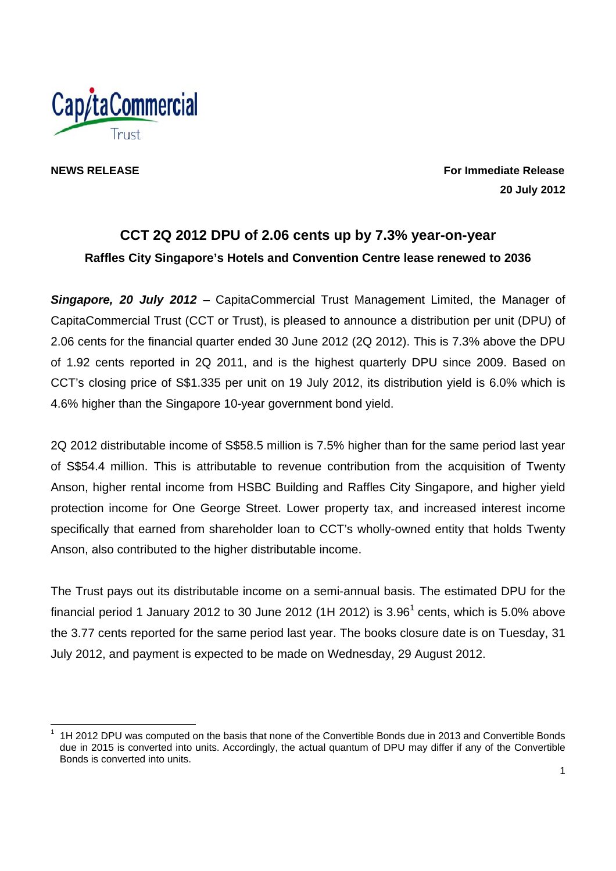

**NEWS RELEASE For Immediate Release 20 July 2012** 

# **CCT 2Q 2012 DPU of 2.06 cents up by 7.3% year-on-year Raffles City Singapore's Hotels and Convention Centre lease renewed to 2036**

*Singapore, 20 July 2012* – CapitaCommercial Trust Management Limited, the Manager of CapitaCommercial Trust (CCT or Trust), is pleased to announce a distribution per unit (DPU) of 2.06 cents for the financial quarter ended 30 June 2012 (2Q 2012). This is 7.3% above the DPU of 1.92 cents reported in 2Q 2011, and is the highest quarterly DPU since 2009. Based on CCT's closing price of S\$1.335 per unit on 19 July 2012, its distribution yield is 6.0% which is 4.6% higher than the Singapore 10-year government bond yield.

2Q 2012 distributable income of S\$58.5 million is 7.5% higher than for the same period last year of S\$54.4 million. This is attributable to revenue contribution from the acquisition of Twenty Anson, higher rental income from HSBC Building and Raffles City Singapore, and higher yield protection income for One George Street. Lower property tax, and increased interest income specifically that earned from shareholder loan to CCT's wholly-owned entity that holds Twenty Anson, also contributed to the higher distributable income.

The Trust pays out its distributable income on a semi-annual basis. The estimated DPU for the financial period 1 January 2012 to 30 June 2012 (1H 2012) is 3.96<sup>1</sup> cents, which is 5.0% above the 3.77 cents reported for the same period last year. The books closure date is on Tuesday, 31 July 2012, and payment is expected to be made on Wednesday, 29 August 2012.

<sup>-</sup>1 1H 2012 DPU was computed on the basis that none of the Convertible Bonds due in 2013 and Convertible Bonds due in 2015 is converted into units. Accordingly, the actual quantum of DPU may differ if any of the Convertible Bonds is converted into units.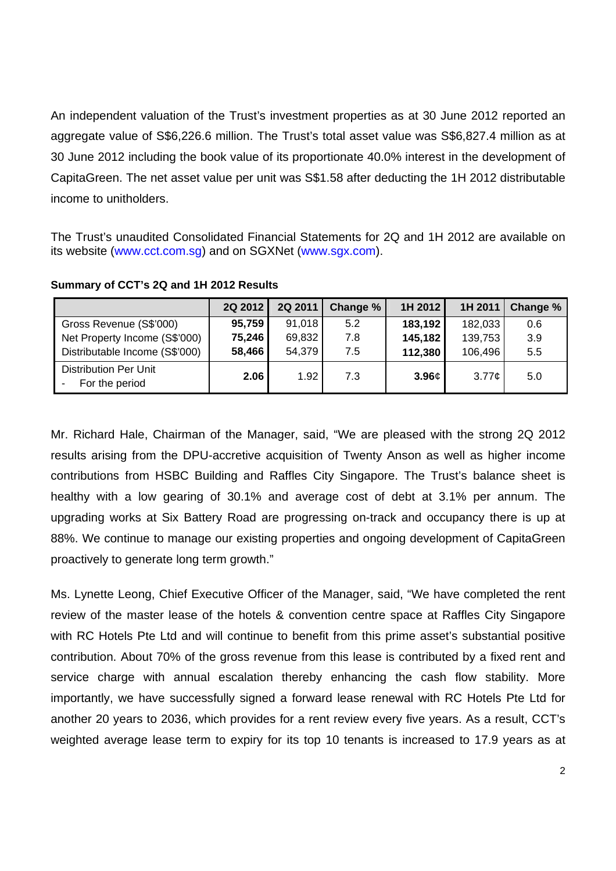An independent valuation of the Trust's investment properties as at 30 June 2012 reported an aggregate value of S\$6,226.6 million. The Trust's total asset value was S\$6,827.4 million as at 30 June 2012 including the book value of its proportionate 40.0% interest in the development of CapitaGreen. The net asset value per unit was S\$1.58 after deducting the 1H 2012 distributable income to unitholders.

The Trust's unaudited Consolidated Financial Statements for 2Q and 1H 2012 are available on its website (www.cct.com.sg) and on SGXNet (www.sgx.com).

|                                                | 2Q 2012 | 2Q 2011           | Change % | 1H 2012           | 1H 2011 | <b>Change %</b> |
|------------------------------------------------|---------|-------------------|----------|-------------------|---------|-----------------|
| Gross Revenue (S\$'000)                        | 95,759  | 91,018            | 5.2      | 183,192           | 182,033 | 0.6             |
| Net Property Income (S\$'000)                  | 75,246  | 69,832            | 7.8      | 145,182           | 139,753 | 3.9             |
| Distributable Income (S\$'000)                 | 58,466  | 54,379            | 7.5      | 112,380           | 106,496 | 5.5             |
| <b>Distribution Per Unit</b><br>For the period | 2.06    | 1.92 <sub>1</sub> | 7.3      | 3.96 <sub>c</sub> | 3.77c   | 5.0             |

**Summary of CCT's 2Q and 1H 2012 Results** 

Mr. Richard Hale, Chairman of the Manager, said, "We are pleased with the strong 2Q 2012 results arising from the DPU-accretive acquisition of Twenty Anson as well as higher income contributions from HSBC Building and Raffles City Singapore. The Trust's balance sheet is healthy with a low gearing of 30.1% and average cost of debt at 3.1% per annum. The upgrading works at Six Battery Road are progressing on-track and occupancy there is up at 88%. We continue to manage our existing properties and ongoing development of CapitaGreen proactively to generate long term growth."

Ms. Lynette Leong, Chief Executive Officer of the Manager, said, "We have completed the rent review of the master lease of the hotels & convention centre space at Raffles City Singapore with RC Hotels Pte Ltd and will continue to benefit from this prime asset's substantial positive contribution. About 70% of the gross revenue from this lease is contributed by a fixed rent and service charge with annual escalation thereby enhancing the cash flow stability. More importantly, we have successfully signed a forward lease renewal with RC Hotels Pte Ltd for another 20 years to 2036, which provides for a rent review every five years. As a result, CCT's weighted average lease term to expiry for its top 10 tenants is increased to 17.9 years as at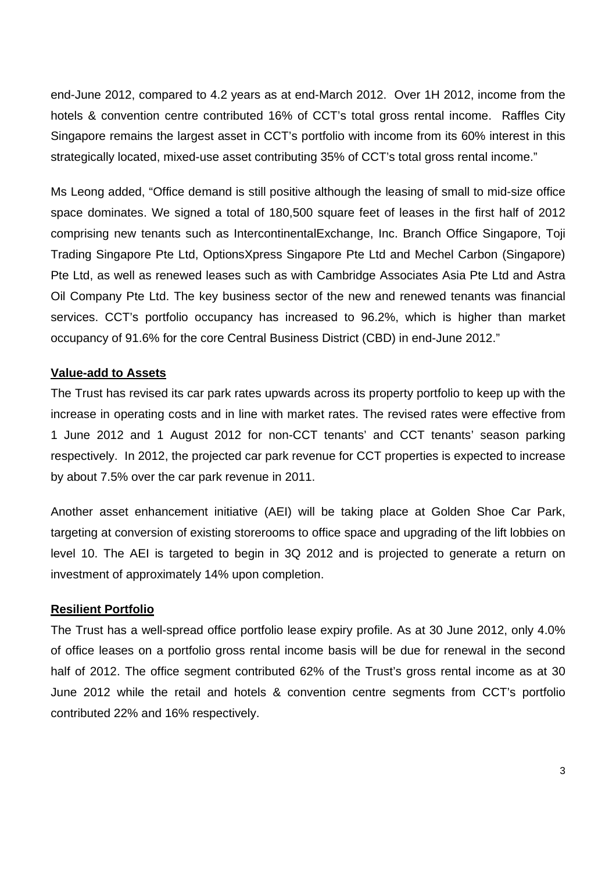end-June 2012, compared to 4.2 years as at end-March 2012. Over 1H 2012, income from the hotels & convention centre contributed 16% of CCT's total gross rental income. Raffles City Singapore remains the largest asset in CCT's portfolio with income from its 60% interest in this strategically located, mixed-use asset contributing 35% of CCT's total gross rental income."

Ms Leong added, "Office demand is still positive although the leasing of small to mid-size office space dominates. We signed a total of 180,500 square feet of leases in the first half of 2012 comprising new tenants such as IntercontinentalExchange, Inc. Branch Office Singapore, Toji Trading Singapore Pte Ltd, OptionsXpress Singapore Pte Ltd and Mechel Carbon (Singapore) Pte Ltd, as well as renewed leases such as with Cambridge Associates Asia Pte Ltd and Astra Oil Company Pte Ltd. The key business sector of the new and renewed tenants was financial services. CCT's portfolio occupancy has increased to 96.2%, which is higher than market occupancy of 91.6% for the core Central Business District (CBD) in end-June 2012."

### **Value-add to Assets**

The Trust has revised its car park rates upwards across its property portfolio to keep up with the increase in operating costs and in line with market rates. The revised rates were effective from 1 June 2012 and 1 August 2012 for non-CCT tenants' and CCT tenants' season parking respectively. In 2012, the projected car park revenue for CCT properties is expected to increase by about 7.5% over the car park revenue in 2011.

Another asset enhancement initiative (AEI) will be taking place at Golden Shoe Car Park, targeting at conversion of existing storerooms to office space and upgrading of the lift lobbies on level 10. The AEI is targeted to begin in 3Q 2012 and is projected to generate a return on investment of approximately 14% upon completion.

#### **Resilient Portfolio**

The Trust has a well-spread office portfolio lease expiry profile. As at 30 June 2012, only 4.0% of office leases on a portfolio gross rental income basis will be due for renewal in the second half of 2012. The office segment contributed 62% of the Trust's gross rental income as at 30 June 2012 while the retail and hotels & convention centre segments from CCT's portfolio contributed 22% and 16% respectively.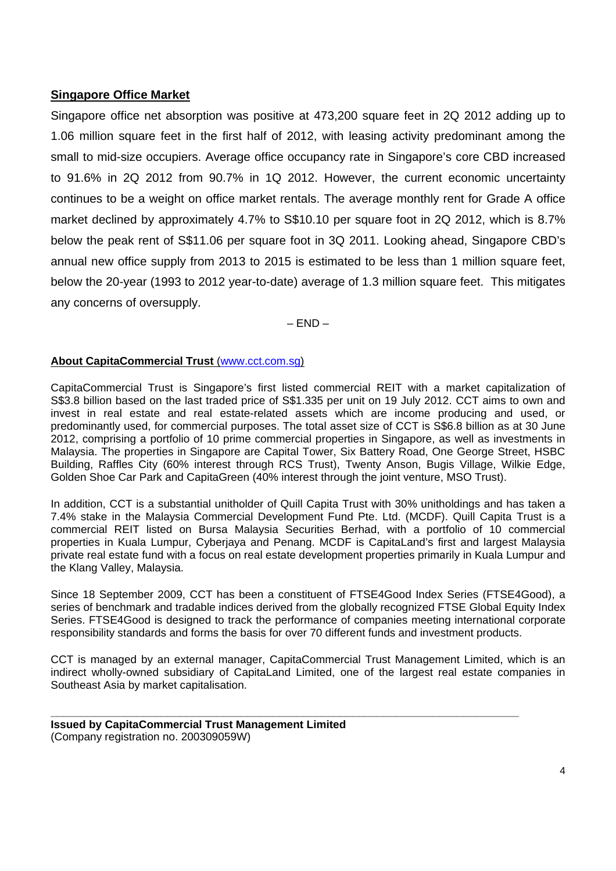## **Singapore Office Market**

Singapore office net absorption was positive at 473,200 square feet in 2Q 2012 adding up to 1.06 million square feet in the first half of 2012, with leasing activity predominant among the small to mid-size occupiers. Average office occupancy rate in Singapore's core CBD increased to 91.6% in 2Q 2012 from 90.7% in 1Q 2012. However, the current economic uncertainty continues to be a weight on office market rentals. The average monthly rent for Grade A office market declined by approximately 4.7% to S\$10.10 per square foot in 2Q 2012, which is 8.7% below the peak rent of S\$11.06 per square foot in 3Q 2011. Looking ahead, Singapore CBD's annual new office supply from 2013 to 2015 is estimated to be less than 1 million square feet, below the 20-year (1993 to 2012 year-to-date) average of 1.3 million square feet. This mitigates any concerns of oversupply.

 $-$  END $-$ 

### **About CapitaCommercial Trust** (www.cct.com.sg)

CapitaCommercial Trust is Singapore's first listed commercial REIT with a market capitalization of S\$3.8 billion based on the last traded price of S\$1.335 per unit on 19 July 2012. CCT aims to own and invest in real estate and real estate-related assets which are income producing and used, or predominantly used, for commercial purposes. The total asset size of CCT is S\$6.8 billion as at 30 June 2012, comprising a portfolio of 10 prime commercial properties in Singapore, as well as investments in Malaysia. The properties in Singapore are Capital Tower, Six Battery Road, One George Street, HSBC Building, Raffles City (60% interest through RCS Trust), Twenty Anson, Bugis Village, Wilkie Edge, Golden Shoe Car Park and CapitaGreen (40% interest through the joint venture, MSO Trust).

In addition, CCT is a substantial unitholder of Quill Capita Trust with 30% unitholdings and has taken a 7.4% stake in the Malaysia Commercial Development Fund Pte. Ltd. (MCDF). Quill Capita Trust is a commercial REIT listed on Bursa Malaysia Securities Berhad, with a portfolio of 10 commercial properties in Kuala Lumpur, Cyberjaya and Penang. MCDF is CapitaLand's first and largest Malaysia private real estate fund with a focus on real estate development properties primarily in Kuala Lumpur and the Klang Valley, Malaysia.

Since 18 September 2009, CCT has been a constituent of FTSE4Good Index Series (FTSE4Good), a series of benchmark and tradable indices derived from the globally recognized FTSE Global Equity Index Series. FTSE4Good is designed to track the performance of companies meeting international corporate responsibility standards and forms the basis for over 70 different funds and investment products.

CCT is managed by an external manager, CapitaCommercial Trust Management Limited, which is an indirect wholly-owned subsidiary of CapitaLand Limited, one of the largest real estate companies in Southeast Asia by market capitalisation.

**\_\_\_\_\_\_\_\_\_\_\_\_\_\_\_\_\_\_\_\_\_\_\_\_\_\_\_\_\_\_\_\_\_\_\_\_\_\_\_\_\_\_\_\_\_\_\_\_\_\_\_\_\_\_\_\_\_\_\_\_\_\_\_\_\_\_\_\_\_\_\_\_\_\_\_\_** 

**Issued by CapitaCommercial Trust Management Limited**  (Company registration no. 200309059W)